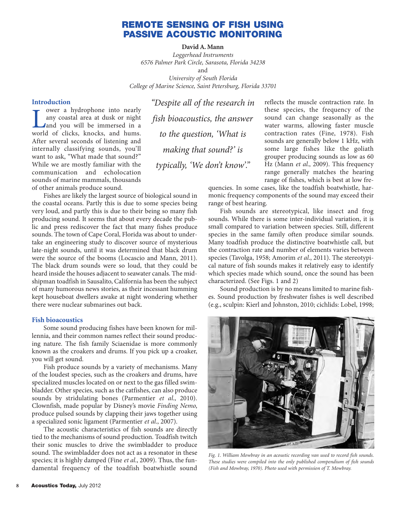## **REMOTE SENSING OF FISH USING PASSIVE ACOUSTIC MONITORING**

#### **David A. Mann**

*Loggerhead Instruments 6576 Palmer Park Circle, Sarasota, Florida 34238* and *University of South Florida College of Marine Science, Saint Petersburg, Florida 33701*

### **Introduction**

wer a hydrophone into nearly<br>any coastal area at dusk or night<br>and you will be immersed in a<br>world of clicks, knocks, and hums. ower a hydrophone into nearly any coastal area at dusk or night and you will be immersed in a After several seconds of listening and internally classifying sounds, you'll want to ask, "What made that sound?" While we are mostly familiar with the communication and echolocation sounds of marine mammals, thousands of other animals produce sound.

Fishes are likely the largest source of biological sound in the coastal oceans. Partly this is due to some species being very loud, and partly this is due to their being so many fish producing sound. It seems that about every decade the public and press rediscover the fact that many fishes produce sounds. The town of Cape Coral, Florida was about to undertake an engineering study to discover source of mysterious late-night sounds, until it was determined that black drum were the source of the booms (Locascio and Mann, 2011). The black drum sounds were so loud, that they could be heard inside the houses adjacent to seawater canals. The midshipman toadfish in Sausalito, California has been the subject of many humorous news stories, as their incessant humming kept houseboat dwellers awake at night wondering whether there were nuclear submarines out back.

#### **Fish bioacoustics**

Some sound producing fishes have been known for millennia, and their common names reflect their sound producing nature. The fish family Sciaenidae is more commonly known as the croakers and drums. If you pick up a croaker, you will get sound.

Fish produce sounds by a variety of mechanisms. Many of the loudest species, such as the croakers and drums, have specialized muscles located on or next to the gas filled swimbladder. Other species, such as the catfishes, can also produce sounds by stridulating bones (Parmentier *et al.*, 2010). Clownfish, made popular by Disney's movie *Finding Nemo*, produce pulsed sounds by clapping their jaws together using a specialized sonic ligament (Parmentier *et al.*, 2007).

The acoustic characteristics of fish sounds are directly tied to the mechanisms of sound production. Toadfish twitch their sonic muscles to drive the swimbladder to produce sound. The swimbladder does not act as a resonator in these species; it is highly damped (Fine *et al.*, 2009). Thus, the fundamental frequency of the toadfish boatwhistle sound

*"Despite all of the research in fish bioacoustics, the answer to the question, 'What is making that sound?' is typically, 'We don't know'."*

reflects the muscle contraction rate. In these species, the frequency of the sound can change seasonally as the water warms, allowing faster muscle contraction rates (Fine, 1978). Fish sounds are generally below 1 kHz, with some large fishes like the goliath grouper producing sounds as low as 60 Hz (Mann *et al*., 2009). This frequency range generally matches the hearing range of fishes, which is best at low fre-

quencies. In some cases, like the toadfish boatwhistle, harmonic frequency components of the sound may exceed their range of best hearing.

Fish sounds are stereotypical, like insect and frog sounds. While there is some inter-individual variation, it is small compared to variation between species. Still, different species in the same family often produce similar sounds. Many toadfish produce the distinctive boatwhistle call, but the contraction rate and number of elements varies between species (Tavolga, 1958; Amorim *et al.*, 2011). The stereotypical nature of fish sounds makes it relatively easy to identify which species made which sound, once the sound has been characterized. (See Figs. 1 and 2)

Sound production is by no means limited to marine fishes. Sound production by freshwater fishes is well described (e.g., sculpin: Kierl and Johnston, 2010; cichlids: Lobel, 1998;



*Fig. 1. William Mowbray in an acoustic recording van used to record fish sounds. These studies were compiled into the only published compendium of fish sounds (Fish and Mowbray, 1970). Photo used with permission of T. Mowbray.*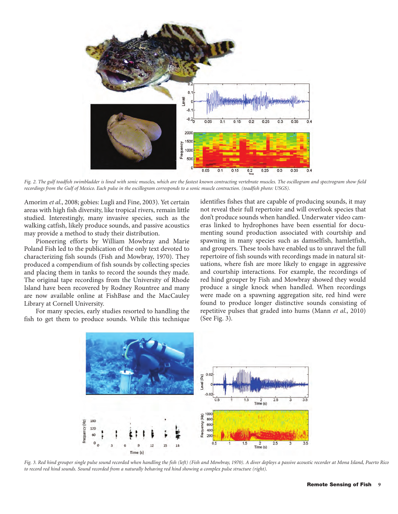

*Fig. 2. The gulf toadfish swimbladder is lined with sonic muscles, which are the fastest known contracting vertebrate muscles. The oscillogram and spectrogram show field recordings from the Gulf of Mexico. Each pulse in the oscillogram corresponds to a sonic muscle contraction. (toadfish photo: USGS).*

Amorim *et al.*, 2008; gobies: Lugli and Fine, 2003). Yet certain areas with high fish diversity, like tropical rivers, remain little studied. Interestingly, many invasive species, such as the walking catfish, likely produce sounds, and passive acoustics may provide a method to study their distribution.

Pioneering efforts by William Mowbray and Marie Poland Fish led to the publication of the only text devoted to characterizing fish sounds (Fish and Mowbray, 1970). They produced a compendium of fish sounds by collecting species and placing them in tanks to record the sounds they made. The original tape recordings from the University of Rhode Island have been recovered by Rodney Rountree and many are now available online at FishBase and the MacCauley Library at Cornell University.

For many species, early studies resorted to handling the fish to get them to produce sounds. While this technique identifies fishes that are capable of producing sounds, it may not reveal their full repertoire and will overlook species that don't produce sounds when handled. Underwater video cameras linked to hydrophones have been essential for documenting sound production associated with courtship and spawning in many species such as damselfish, hamletfish, and groupers. These tools have enabled us to unravel the full repertoire of fish sounds with recordings made in natural situations, where fish are more likely to engage in aggressive and courtship interactions. For example, the recordings of red hind grouper by Fish and Mowbray showed they would produce a single knock when handled. When recordings were made on a spawning aggregation site, red hind were found to produce longer distinctive sounds consisting of repetitive pulses that graded into hums (Mann *et al.*, 2010) (See Fig. 3).



*Fig. 3. Red hind grouper single pulse sound recorded when handling the fish (left) (Fish and Mowbray, 1970). A diver deploys a passive acoustic recorder at Mona Island, Puerto Rico to record red hind sounds. Sound recorded from a naturally behaving red hind showing a complex pulse structure (right).*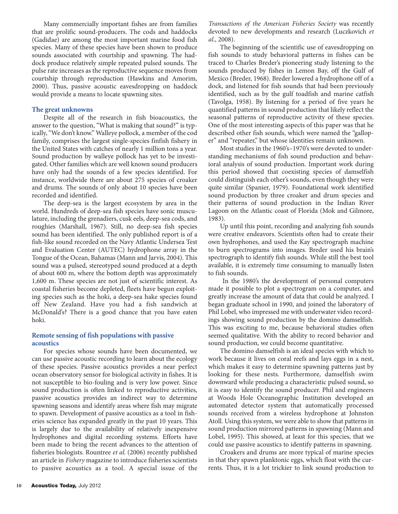Many commercially important fishes are from families that are prolific sound-producers. The cods and haddocks (Gadidae) are among the most important marine food fish species. Many of these species have been shown to produce sounds associated with courtship and spawning. The haddock produce relatively simple repeated pulsed sounds. The pulse rate increases as the reproductive sequence moves from courtship through reproduction (Hawkins and Amorim, 2000). Thus, passive acoustic eavesdropping on haddock would provide a means to locate spawning sites.

#### **The great unknowns**

Despite all of the research in fish bioacoustics, the answer to the question, "What is making that sound?" is typically, "We don't know." Walleye pollock, a member of the cod family, comprises the largest single-species finfish fishery in the United States with catches of nearly 1 million tons a year. Sound production by walleye pollock has yet to be investigated. Other families which are well known sound producers have only had the sounds of a few species identified. For instance, worldwide there are about 275 species of croaker and drums. The sounds of only about 10 species have been recorded and identified.

The deep-sea is the largest ecosystem by area in the world. Hundreds of deep-sea fish species have sonic musculature, including the grenadiers, cusk eels, deep-sea cods, and roughies (Marshall, 1967). Still, no deep-sea fish species sound has been identified. The only published report is of a fish-like sound recorded on the Navy Atlantic Undersea Test and Evaluation Center (AUTEC) hydrophone array in the Tongue of the Ocean, Bahamas (Mann and Jarvis, 2004). This sound was a pulsed, stereotyped sound produced at a depth of about 600 m, where the bottom depth was approximately 1,600 m. These species are not just of scientific interest. As coastal fisheries become depleted, fleets have begun exploiting species such as the hoki, a deep-sea hake species found off New Zealand. Have you had a fish sandwich at McDonald's? There is a good chance that you have eaten hoki.

#### **Remote sensing of fish populations with passive acoustics**

For species whose sounds have been documented, we can use passive acoustic recording to learn about the ecology of these species. Passive acoustics provides a near perfect ocean observatory sensor for biological activity in fishes. It is not susceptible to bio-fouling and is very low power. Since sound production is often linked to reproductive activities, passive acoustics provides an indirect way to determine spawning seasons and identify areas where fish may migrate to spawn. Development of passive acoustics as a tool in fisheries science has expanded greatly in the past 10 years. This is largely due to the availability of relatively inexpensive hydrophones and digital recording systems. Efforts have been made to bring the recent advances to the attention of fisheries biologists. Rountree *et al.* (2006) recently published an article in *Fishery* magazine to introduce fisheries scientists to passive acoustics as a tool. A special issue of the

*Transactions of the American Fisheries Society* was recently devoted to new developments and research (Luczkovich *et al.*, 2008).

The beginning of the scientific use of eavesdropping on fish sounds to study behavioral patterns in fishes can be traced to Charles Breder's pioneering study listening to the sounds produced by fishes in Lemon Bay, off the Gulf of Mexico (Breder, 1968). Breder lowered a hydrophone off of a dock, and listened for fish sounds that had been previously identified, such as by the gulf toadfish and marine catfish (Tavolga, 1958). By listening for a period of five years he quantified patterns in sound production that likely reflect the seasonal patterns of reproductive activity of these species. One of the most interesting aspects of this paper was that he described other fish sounds, which were named the "galloper" and "repeater," but whose identities remain unknown.

Most studies in the 1960's–1970's were devoted to understanding mechanisms of fish sound production and behavioral analysis of sound production. Important work during this period showed that coexisting species of damselfish could distinguish each other's sounds, even though they were quite similar (Spanier, 1979). Foundational work identified sound production by three croaker and drum species and their patterns of sound production in the Indian River Lagoon on the Atlantic coast of Florida (Mok and Gilmore, 1983).

Up until this point, recording and analyzing fish sounds were creative endeavors. Scientists often had to create their own hydrophones, and used the Kay spectrograph machine to burn spectrograms into images. Breder used his brain's spectrograph to identify fish sounds. While still the best tool available, it is extremely time consuming to manually listen to fish sounds.

In the 1980's the development of personal computers made it possible to plot a spectrogram on a computer, and greatly increase the amount of data that could be analyzed. I began graduate school in 1990, and joined the laboratory of Phil Lobel, who impressed me with underwater video recordings showing sound production by the domino damselfish. This was exciting to me, because behavioral studies often seemed qualitative. With the ability to record behavior and sound production, we could become quantitative.

The domino damselfish is an ideal species with which to work because it lives on coral reefs and lays eggs in a nest, which makes it easy to determine spawning patterns just by looking for these nests. Furthermore, damselfish swim downward while producing a characteristic pulsed sound, so it is easy to identify the sound producer. Phil and engineers at Woods Hole Oceanographic Institution developed an automated detector system that automatically processed sounds received from a wireless hydrophone at Johnston Atoll. Using this system, we were able to show that patterns in sound production mirrored patterns in spawning (Mann and Lobel, 1995). This showed, at least for this species, that we could use passive acoustics to identify patterns in spawning.

Croakers and drums are more typical of marine species in that they spawn planktonic eggs, which float with the currents. Thus, it is a lot trickier to link sound production to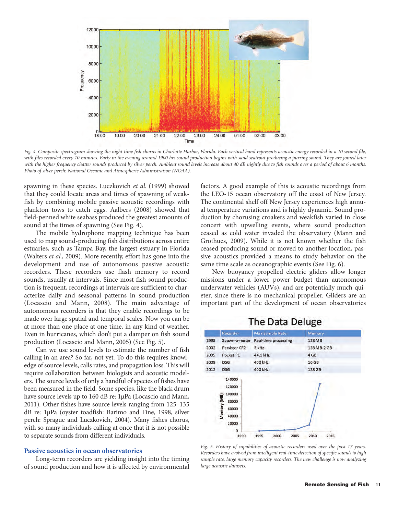

*Fig. 4. Composite spectrogram showing the night time fish chorus in Charlotte Harbor, Florida. Each vertical band represents acoustic energy recorded in a 10 second file, with files recorded every 10 minutes. Early in the evening around 1900 hrs sound production begins with sand seatrout producing a purring sound. They are joined later with the higher frequency chatter sounds produced by silver perch. Ambient sound levels increase about 40 dB nightly due to fish sounds over a period of about 6 months. Photo of silver perch: National Oceanic and Atmospheric Administration (NOAA).*

spawning in these species. Luczkovich *et al.* (1999) showed that they could locate areas and times of spawning of weakfish by combining mobile passive acoustic recordings with plankton tows to catch eggs. Aalbers (2008) showed that field-penned white seabass produced the greatest amounts of sound at the times of spawning (See Fig. 4).

The mobile hydrophone mapping technique has been used to map sound-producing fish distributions across entire estuaries, such as Tampa Bay, the largest estuary in Florida (Walters *et al.*, 2009). More recently, effort has gone into the development and use of autonomous passive acoustic recorders. These recorders use flash memory to record sounds, usually at intervals. Since most fish sound production is frequent, recordings at intervals are sufficient to characterize daily and seasonal patterns in sound production (Locascio and Mann, 2008). The main advantage of autonomous recorders is that they enable recordings to be made over large spatial and temporal scales. Now you can be at more than one place at one time, in any kind of weather. Even in hurricanes, which don't put a damper on fish sound production (Locascio and Mann, 2005) (See Fig. 5).

Can we use sound levels to estimate the number of fish calling in an area? So far, not yet. To do this requires knowledge of source levels, calls rates, and propagation loss. This will require collaboration between biologists and acoustic modelers. The source levels of only a handful of species of fishes have been measured in the field. Some species, like the black drum have source levels up to 160 dB re: 1µPa (Locascio and Mann, 2011). Other fishes have source levels ranging from 125–135 dB re: 1µPa (oyster toadfish: Barimo and Fine, 1998, silver perch: Sprague and Luczkovich, 2004). Many fishes chorus, with so many individuals calling at once that it is not possible to separate sounds from different individuals.

#### **Passive acoustics in ocean observatories**

Long-term recorders are yielding insight into the timing of sound production and how it is affected by environmental factors. A good example of this is acoustic recordings from the LEO-15 ocean observatory off the coast of New Jersey. The continental shelf off New Jersey experiences high annual temperature variations and is highly dynamic. Sound production by chorusing croakers and weakfish varied in close concert with upwelling events, where sound production ceased as cold water invaded the observatory (Mann and Grothues, 2009). While it is not known whether the fish ceased producing sound or moved to another location, passive acoustics provided a means to study behavior on the same time scale as oceanographic events (See Fig. 6).

New buoyancy propelled electric gliders allow longer missions under a lower power budget than autonomous underwater vehicles (AUVs), and are potentially much quieter, since there is no mechanical propeller. Gliders are an important part of the development of ocean observatories



## **The Data Deluge**

*Fig. 5. History of capabilities of acoustic recorders used over the past 17 years. Recorders have evolved from intelligent real-time detection of specific sounds to high sample rate, large memory capacity recorders. The new challenge is now analyzing large acoustic datasets.*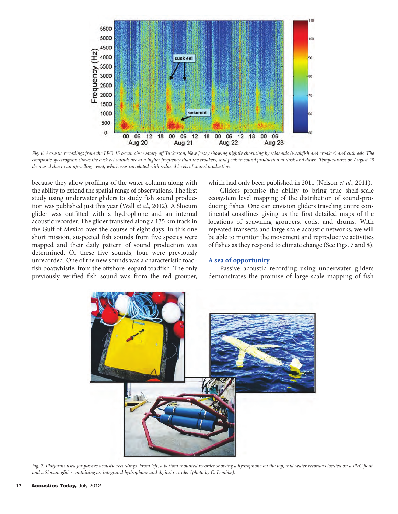

*Fig. 6. Acoustic recordings from the LEO-15 ocean observatory off Tuckerton, New Jersey showing nightly chorusing by sciaenids (weakfish and croaker) and cusk eels. The composite spectrogram shows the cusk eel sounds are at a higher frequency than the croakers, and peak in sound production at dusk and dawn. Temperatures on August 23 decreased due to an upwelling event, which was correlated with reduced levels of sound production.*

because they allow profiling of the water column along with the ability to extend the spatial range of observations. The first study using underwater gliders to study fish sound production was published just this year (Wall *et al.*, 2012). A Slocum glider was outfitted with a hydrophone and an internal acoustic recorder. The glider transited along a 135 km track in the Gulf of Mexico over the course of eight days. In this one short mission, suspected fish sounds from five species were mapped and their daily pattern of sound production was determined. Of these five sounds, four were previously unrecorded. One of the new sounds was a characteristic toadfish boatwhistle, from the offshore leopard toadfish. The only previously verified fish sound was from the red grouper, which had only been published in 2011 (Nelson *et al.*, 2011).

Gliders promise the ability to bring true shelf-scale ecosystem level mapping of the distribution of sound-producing fishes. One can envision gliders traveling entire continental coastlines giving us the first detailed maps of the locations of spawning groupers, cods, and drums. With repeated transects and large scale acoustic networks, we will be able to monitor the movement and reproductive activities of fishes as they respond to climate change (See Figs. 7 and 8).

#### **A sea of opportunity**

Passive acoustic recording using underwater gliders demonstrates the promise of large-scale mapping of fish



*Fig. 7. Platforms used for passive acoustic recordings. From left, a bottom mounted recorder showing a hydrophone on the top, mid-water recorders located on a PVC float, and a Slocum glider containing an integrated hydrophone and digital recorder (photo by C. Lembke).*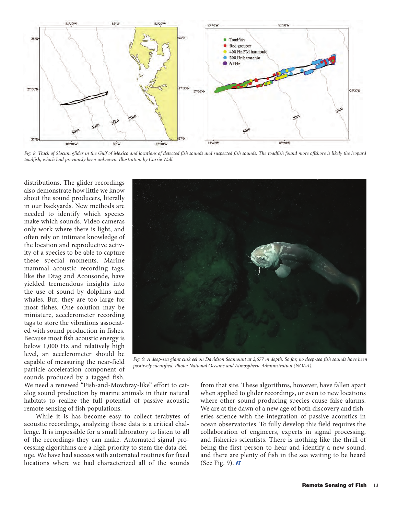

*Fig. 8. Track of Slocum glider in the Gulf of Mexico and locations of detected fish sounds and suspected fish sounds. The toadfish found more offshore is likely the leopard toadfish, which had previously been unknown. Illustration by Carrie Wall.*

distributions. The glider recordings also demonstrate how little we know about the sound producers, literally in our backyards. New methods are needed to identify which species make which sounds. Video cameras only work where there is light, and often rely on intimate knowledge of the location and reproductive activity of a species to be able to capture these special moments. Marine mammal acoustic recording tags, like the Dtag and Acousonde, have yielded tremendous insights into the use of sound by dolphins and whales. But, they are too large for most fishes. One solution may be miniature, accelerometer recording tags to store the vibrations associated with sound production in fishes. Because most fish acoustic energy is below 1,000 Hz and relatively high level, an accelerometer should be capable of measuring the near-field particle acceleration component of sounds produced by a tagged fish.



*Fig. 9. A deep-sea giant cusk eel on Davidson Seamount at 2,677 m depth. So far, no deep-sea fish sounds have been positively identified. Photo: National Oceanic and Atmospheric Administration (NOAA).*

We need a renewed "Fish-and-Mowbray-like" effort to catalog sound production by marine animals in their natural habitats to realize the full potential of passive acoustic remote sensing of fish populations.

While it is has become easy to collect terabytes of acoustic recordings, analyzing those data is a critical challenge. It is impossible for a small laboratory to listen to all of the recordings they can make. Automated signal processing algorithms are a high priority to stem the data deluge. We have had success with automated routines for fixed locations where we had characterized all of the sounds

from that site. These algorithms, however, have fallen apart when applied to glider recordings, or even to new locations where other sound producing species cause false alarms. We are at the dawn of a new age of both discovery and fisheries science with the integration of passive acoustics in ocean observatories. To fully develop this field requires the collaboration of engineers, experts in signal processing, and fisheries scientists. There is nothing like the thrill of being the first person to hear and identify a new sound, and there are plenty of fish in the sea waiting to be heard (See Fig. 9). **AT**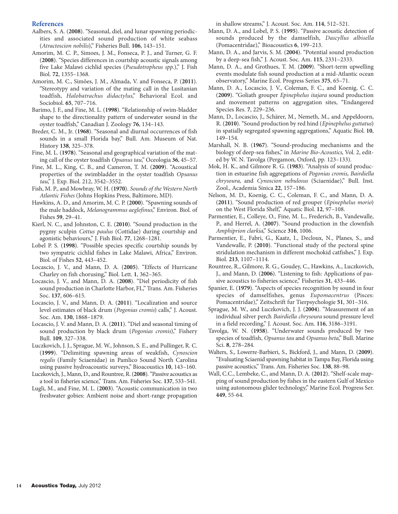#### **References**

- Aalbers, S. A. (**2008**). "Seasonal, diel, and lunar spawning periodicities and associated sound production of white seabass (*Atractoscion nobilis*)," Fisheries Bull. **106**, 143–151.
- Amorim, M. C. P., Simoes, J. M., Fonseca, P. J., and Turner, G. F. (**2008**). "Species differences in courtship acoustic signals among five Lake Malawi cichlid species (*Pseudotropheus spp*.)," J. Fish Biol. **72**, 1355–1368.
- Amorim, M. C., Simões, J. M., Almada, V. and Fonseca, P. (**2011**). "Stereotypy and variation of the mating call in the Lusitanian toadfish, *Halobatrachus didactylus*," Behavioral Ecol. and Sociobiol. **65**, 707–716.
- Barimo, J. F., and Fine, M. L. (**1998**). "Relationship of swim-bladder shape to the directionality pattern of underwater sound in the oyster toadfish," Canadian J. Zoology **76**, 134–143.
- Breder, C. M., Jr. (**1968**). "Seasonal and diurnal occurrences of fish sounds in a small Florida bay," Bull. Am. Museum of Nat. History **138**, 325–378.
- Fine, M. L. (**1978**). "Seasonal and geographical variation of the mating call of the oyster toadfish *Opsanus tau*," Oceologia **36**, 45–57.
- Fine, M. L., King, C. B., and Cameron, T. M. (**2009**). "Acoustical properties of the swimbladder in the oyster toadfish *Opsanus tau*," J. Exp. Biol. 212, 3542–3552.
- Fish, M. P., and Mowbray, W. H. (**1970**). *Sounds of the Western North Atlantic Fishes* (Johns Hopkins Press, Baltimore, MD).
- Hawkins, A. D., and Amorim, M. C. P. (**2000**). "Spawning sounds of the male haddock, *Melanogrammus aeglefinus*," Environ. Biol. of Fishes **59**, 29–41.
- Kierl, N. C., and Johnston, C. E. (**2010**). "Sound production in the pygmy sculpin *Cottus paulus* (Cottidae) during courtship and agonistic behaviours," J. Fish Biol. **77**, 1268–1281.
- Lobel P. S. (1998). "Possible species specific courtship sounds by two sympatric cichlid fishes in Lake Malawi, Africa," Environ. Biol. of Fishes **52**, 443–452.
- Locascio, J. V., and Mann, D. A. (**2005**). "Effects of Hurricane Charley on fish chorusing," Biol. Lett. **1**, 362–365.
- Locascio, J. V., and Mann, D. A. (**2008**). "Diel periodicity of fish sound production in Charlotte Harbor, FL," Trans. Am. Fisheries Soc. **137**, 606–615.
- Locascio, J. V., and Mann, D. A. (**2011**). "Localization and source level estimates of black drum (*Pogonias cromis*) calls," J. Acoust. Soc. Am. **130**, 1868–1879.
- Locascio, J. V. and Mann, D. A. (**2011**). "Diel and seasonal timing of sound production by black drum (*Pogonias cromis*)," Fishery Bull. **109**, 327–338.
- Luczkovich, J. J., Sprague, M. W., Johnson, S. E., and Pullinger, R. C. (**1999**). "Delimiting spawning areas of weakfish, *Cynoscion regalis* (Family Sciaenidae) in Pamlico Sound North Carolina using passive hydroacoustic surveys," Bioacoustics **10**, 143–160.
- Luczkovich, J., Mann, D., and Rountree, R. (**2008**). "Passive acoustics as a tool in fisheries science," Trans. Am. Fisheries Soc. **137**, 533–541.
- Lugli, M., and Fine, M. L. (**2003**). "Acoustic communication in two freshwater gobies: Ambient noise and short-range propagation

in shallow streams," J. Acoust. Soc. Am. **114**, 512–521.

- Mann, D. A., and Lobel, P. S. (**1995**). "Passive acoustic detection of sounds produced by the damselfish, *Dascyllus albisella* (Pomacentridae)," Bioacoustics **6**, 199–213.
- Mann, D. A., and Jarvis, S. M. (**2004**). "Potential sound production by a deep-sea fish," J. Acoust. Soc. Am. **115**, 2331–2333.
- Mann, D. A., and Grothues, T. M. (**2009**). "Short-term upwelling events modulate fish sound production at a mid-Atlantic ocean observatory," Marine Ecol. Progress Series **375**, 65–71.
- Mann, D. A., Locascio, J. V., Coleman, F. C., and Koenig, C. C. (**2009**). "Goliath grouper *Epinephelus itajara* sound production and movement patterns on aggregation sites, "Endangered Species Res. **7**, 229–236.
- Mann, D., Locascio, J., Schärer, M., Nemeth, M., and Appeldoorn, R. (**2010**). "Sound production by red hind (*Epinephelus guttatus*) in spatially segregated spawning aggregations," Aquatic Biol. **10**, 149–154.
- Marshall, N. B. (**1967**). "Sound-producing mechanisms and the biology of deep-sea fishes," in *Marine Bio-Acoustics*, Vol. 2, edited by W. N. Tavolga (Pergamon, Oxford, pp. 123–133).
- Mok, H. K., and Gilmore R. G. (**1983**). "Analysis of sound production in estuarine fish aggregations of *Pogonias cromis, Bairdiella chrysoura*, and *Cynoscion nebulosus* (Sciaenidae)," Bull. Inst. Zool., Academia Sinica **22**, 157–186.
- Nelson, M. D., Koenig, C. C., Coleman, F. C., and Mann, D. A. (**2011**). "Sound production of red grouper (*Epinephelus morio*) on the West Florida Shelf," Aquatic Biol. **12**, 97–108.
- Parmentier, E., Colleye, O., Fine, M. L., Frederich, B., Vandewalle, P., and Herrel, A. (**2007**). "Sound production in the clownfish *Amphiprion clarkia*," Science **316**, 1006.
- Parmentier, E., Fabri, G., Kaatz, I., Decloux, N., Planes, S., and Vandewalle, P. (**2010**). "Functional study of the pectoral spine stridulation mechanism in different mochokid catfishes," J. Exp. Biol. **213**, 1107–1114.
- Rountree, R., Gilmore, R. G., Goudey, C., Hawkins, A., Luczkovich, J., and Mann, D. (**2006**). "Listening to fish: Applications of passive acoustics to fisheries science," Fisheries **31**, 433–446.
- Spanier, E. (**1979**). "Aspects of species recognition by sound in four species of damselfishes, genus *Eupomacentrus* (Pisces: Pomacentridae)," Zeitschrift fur Tierpsychologie **51**, 301–316.
- Sprague, M. W., and Luczkovich, J. J. (**2004**). "Measurement of an individual silver perch *Bairdiella chrysoura* sound pressure level in a field recording," J. Acoust. Soc. Am. **116**, 3186–3191.
- Tavolga, W. N. (**1958**). "Underwater sounds produced by two species of toadfish, *Opsanus tau* and *Opsanus beta*," Bull. Marine Sci. **8**, 278–284.
- Walters, S., Lowerre-Barbieri, S., Bickford, J., and Mann, D. (**2009**). "Evaluating Sciaenid spawning habitat in Tampa Bay, Florida using passive acoustics," Trans. Am. Fisheries Soc. **138**, 88–98.
- Wall, C.C., Lembeke, C., and Mann, D. A. (**2012**). "Shelf-scale mapping of sound production by fishes in the eastern Gulf of Mexico using autonomous glider technology," Marine Ecol. Progress Ser. **449**, 55-64.